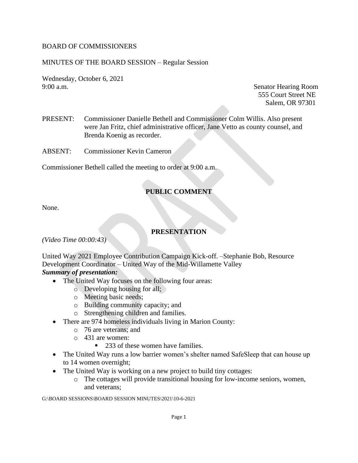### BOARD OF COMMISSIONERS

### MINUTES OF THE BOARD SESSION – Regular Session

Wednesday, October 6, 2021 9:00 a.m. Senator Hearing Room

555 Court Street NE Salem, OR 97301

PRESENT: Commissioner Danielle Bethell and Commissioner Colm Willis. Also present were Jan Fritz, chief administrative officer, Jane Vetto as county counsel, and Brenda Koenig as recorder.

ABSENT: Commissioner Kevin Cameron

Commissioner Bethell called the meeting to order at 9:00 a.m.

# **PUBLIC COMMENT**

None.

## **PRESENTATION**

*(Video Time 00:00:43)*

United Way 2021 Employee Contribution Campaign Kick-off. –Stephanie Bob, Resource Development Coordinator – United Way of the Mid-Willamette Valley *Summary of presentation:* 

- The United Way focuses on the following four areas:
	- o Developing housing for all;
	- o Meeting basic needs;
	- o Building community capacity; and
	- o Strengthening children and families.
- There are 974 homeless individuals living in Marion County:
	- o 76 are veterans; and
	- o 431 are women:
		- 233 of these women have families.
- The United Way runs a low barrier women's shelter named SafeSleep that can house up to 14 women overnight;
- The United Way is working on a new project to build tiny cottages:
	- o The cottages will provide transitional housing for low-income seniors, women, and veterans;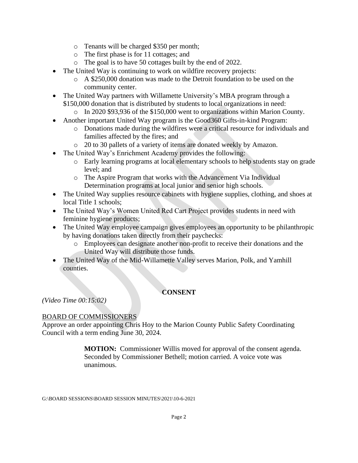- o Tenants will be charged \$350 per month;
- o The first phase is for 11 cottages; and
- o The goal is to have 50 cottages built by the end of 2022.
- The United Way is continuing to work on wildfire recovery projects:
	- o A \$250,000 donation was made to the Detroit foundation to be used on the community center.
- The United Way partners with Willamette University's MBA program through a \$150,000 donation that is distributed by students to local organizations in need:
	- o In 2020 \$93,936 of the \$150,000 went to organizations within Marion County.
- Another important United Way program is the Good 360 Gifts-in-kind Program:
	- o Donations made during the wildfires were a critical resource for individuals and families affected by the fires; and
	- o 20 to 30 pallets of a variety of items are donated weekly by Amazon.
- The United Way's Enrichment Academy provides the following:
	- o Early learning programs at local elementary schools to help students stay on grade level; and
	- o The Aspire Program that works with the Advancement Via Individual Determination programs at local junior and senior high schools.
- The United Way supplies resource cabinets with hygiene supplies, clothing, and shoes at local Title 1 schools;
- The United Way's Women United Red Cart Project provides students in need with feminine hygiene products;
- The United Way employee campaign gives employees an opportunity to be philanthropic by having donations taken directly from their paychecks:
	- o Employees can designate another non-profit to receive their donations and the United Way will distribute those funds.
- The United Way of the Mid-Willamette Valley serves Marion, Polk, and Yamhill counties.

# **CONSENT**

*(Video Time 00:15:02)*

# BOARD OF COMMISSIONERS

Approve an order appointing Chris Hoy to the Marion County Public Safety Coordinating Council with a term ending June 30, 2024.

> **MOTION:** Commissioner Willis moved for approval of the consent agenda. Seconded by Commissioner Bethell; motion carried. A voice vote was unanimous.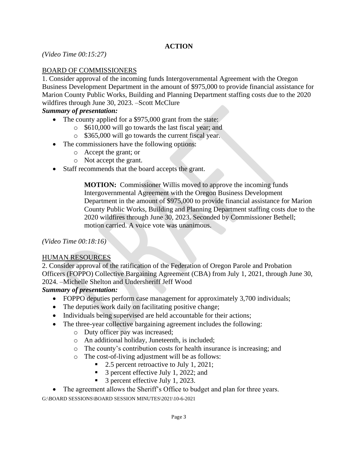# **ACTION**

*(Video Time 00:15:27)*

## BOARD OF COMMISSIONERS

1. Consider approval of the incoming funds Intergovernmental Agreement with the Oregon Business Development Department in the amount of \$975,000 to provide financial assistance for Marion County Public Works, Building and Planning Department staffing costs due to the 2020 wildfires through June 30, 2023. –Scott McClure

#### *Summary of presentation:*

- The county applied for a \$975,000 grant from the state:
	- o \$610,000 will go towards the last fiscal year; and
	- o \$365,000 will go towards the current fiscal year.
- The commissioners have the following options:
	- o Accept the grant; or
	- o Not accept the grant.
- Staff recommends that the board accepts the grant.

**MOTION:** Commissioner Willis moved to approve the incoming funds Intergovernmental Agreement with the Oregon Business Development Department in the amount of \$975,000 to provide financial assistance for Marion County Public Works, Building and Planning Department staffing costs due to the 2020 wildfires through June 30, 2023. Seconded by Commissioner Bethell; motion carried. A voice vote was unanimous.

*(Video Time 00:18:16)*

#### HUMAN RESOURCES

2. Consider approval of the ratification of the Federation of Oregon Parole and Probation Officers (FOPPO) Collective Bargaining Agreement (CBA) from July 1, 2021, through June 30, 2024. –Michelle Shelton and Undersheriff Jeff Wood

## *Summary of presentation:*

- FOPPO deputies perform case management for approximately 3,700 individuals;
- The deputies work daily on facilitating positive change;
- Individuals being supervised are held accountable for their actions;
- The three-year collective bargaining agreement includes the following:
	- o Duty officer pay was increased;
	- o An additional holiday, Juneteenth, is included;
	- o The county's contribution costs for health insurance is increasing; and
	- o The cost-of-living adjustment will be as follows:
		- 2.5 percent retroactive to July 1, 2021;
		- 3 percent effective July 1, 2022; and
		- 3 percent effective July 1, 2023.

• The agreement allows the Sheriff's Office to budget and plan for three years.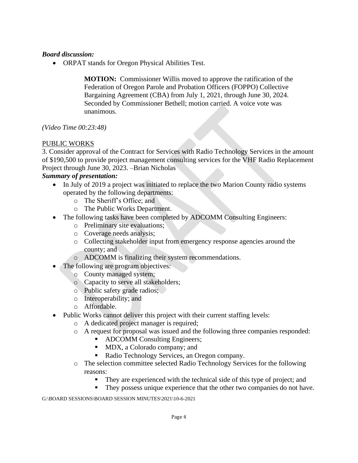• ORPAT stands for Oregon Physical Abilities Test.

**MOTION:** Commissioner Willis moved to approve the ratification of the Federation of Oregon Parole and Probation Officers (FOPPO) Collective Bargaining Agreement (CBA) from July 1, 2021, through June 30, 2024. Seconded by Commissioner Bethell; motion carried. A voice vote was unanimous.

*(Video Time 00:23:48)*

### PUBLIC WORKS

3. Consider approval of the Contract for Services with Radio Technology Services in the amount of \$190,500 to provide project management consulting services for the VHF Radio Replacement Project through June 30, 2023. –Brian Nicholas

#### *Summary of presentation:*

- In July of 2019 a project was initiated to replace the two Marion County radio systems operated by the following departments:
	- o The Sheriff's Office; and
	- o The Public Works Department.
- The following tasks have been completed by ADCOMM Consulting Engineers:
	- o Preliminary site evaluations;
	- o Coverage needs analysis;
	- o Collecting stakeholder input from emergency response agencies around the county; and
	- o ADCOMM is finalizing their system recommendations.
- The following are program objectives:
	- o County managed system;
	- o Capacity to serve all stakeholders;
	- o Public safety grade radios;
	- o Interoperability; and
	- o Affordable.
- Public Works cannot deliver this project with their current staffing levels:
	- o A dedicated project manager is required;
	- o A request for proposal was issued and the following three companies responded:
		- ADCOMM Consulting Engineers;
		- MDX, a Colorado company; and
		- Radio Technology Services, an Oregon company.
	- o The selection committee selected Radio Technology Services for the following reasons:
		- They are experienced with the technical side of this type of project; and
		- They possess unique experience that the other two companies do not have.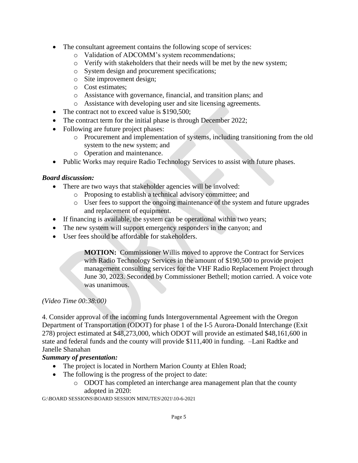- The consultant agreement contains the following scope of services:
	- o Validation of ADCOMM's system recommendations;
	- o Verify with stakeholders that their needs will be met by the new system;
	- o System design and procurement specifications;
	- o Site improvement design;
	- o Cost estimates;
	- o Assistance with governance, financial, and transition plans; and
	- o Assistance with developing user and site licensing agreements.
- The contract not to exceed value is \$190,500;
- The contract term for the initial phase is through December 2022;
- Following are future project phases:
	- o Procurement and implementation of systems, including transitioning from the old system to the new system; and
	- o Operation and maintenance.
- Public Works may require Radio Technology Services to assist with future phases.

- There are two ways that stakeholder agencies will be involved:
	- o Proposing to establish a technical advisory committee; and
	- o User fees to support the ongoing maintenance of the system and future upgrades and replacement of equipment.
- If financing is available, the system can be operational within two years;
- The new system will support emergency responders in the canyon; and
- User fees should be affordable for stakeholders.

**MOTION:** Commissioner Willis moved to approve the Contract for Services with Radio Technology Services in the amount of \$190,500 to provide project management consulting services for the VHF Radio Replacement Project through June 30, 2023. Seconded by Commissioner Bethell; motion carried. A voice vote was unanimous.

## *(Video Time 00:38:00)*

4. Consider approval of the incoming funds Intergovernmental Agreement with the Oregon Department of Transportation (ODOT) for phase 1 of the I-5 Aurora-Donald Interchange (Exit 278) project estimated at \$48,273,000, which ODOT will provide an estimated \$48,161,600 in state and federal funds and the county will provide \$111,400 in funding. –Lani Radtke and Janelle Shanahan

# *Summary of presentation:*

- The project is located in Northern Marion County at Ehlen Road;
- The following is the progress of the project to date:
	- o ODOT has completed an interchange area management plan that the county adopted in 2020: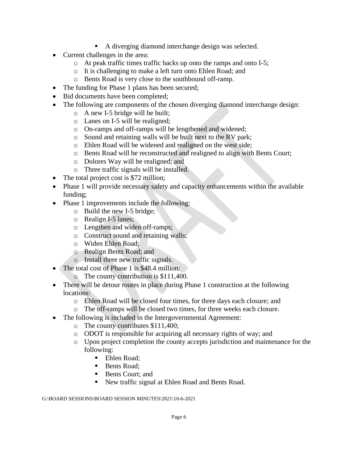- A diverging diamond interchange design was selected.
- Current challenges in the area:
	- o At peak traffic times traffic backs up onto the ramps and onto I-5;
	- o It is challenging to make a left turn onto Ehlen Road; and
	- o Bents Road is very close to the southbound off-ramp.
- The funding for Phase 1 plans has been secured;
- Bid documents have been completed;
- The following are components of the chosen diverging diamond interchange design:
	- o A new I-5 bridge will be built;
	- o Lanes on I-5 will be realigned;
	- o On-ramps and off-ramps will be lengthened and widened;
	- o Sound and retaining walls will be built next to the RV park;
	- o Ehlen Road will be widened and realigned on the west side;
	- o Bents Road will be reconstructed and realigned to align with Bents Court;
	- o Dolores Way will be realigned; and
	- o Three traffic signals will be installed.
- The total project cost is \$72 million;
- Phase 1 will provide necessary safety and capacity enhancements within the available funding;
- Phase 1 improvements include the following:
	- o Build the new I-5 bridge;
	- o Realign I-5 lanes;
	- o Lengthen and widen off-ramps;
	- o Construct sound and retaining walls;
	- o Widen Ehlen Road;
	- o Realign Bents Road; and
	- o Install three new traffic signals.
- The total cost of Phase 1 is \$48.4 million:
	- o The county contribution is \$111,400.
- There will be detour routes in place during Phase 1 construction at the following locations:
	- o Ehlen Road will be closed four times, for three days each closure; and
	- o The off-ramps will be closed two times, for three weeks each closure.
- The following is included in the Intergovernmental Agreement:
	- o The county contributes \$111,400;
	- o ODOT is responsible for acquiring all necessary rights of way; and
	- o Upon project completion the county accepts jurisdiction and maintenance for the following:
		- Ehlen Road:
		- Bents Road:
		- Bents Court: and
		- New traffic signal at Ehlen Road and Bents Road.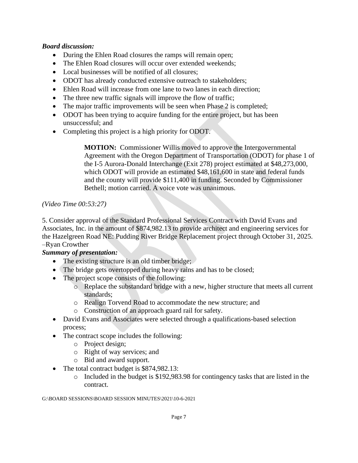- During the Ehlen Road closures the ramps will remain open;
- The Ehlen Road closures will occur over extended weekends:
- Local businesses will be notified of all closures:
- ODOT has already conducted extensive outreach to stakeholders;
- Ehlen Road will increase from one lane to two lanes in each direction;
- The three new traffic signals will improve the flow of traffic;
- The major traffic improvements will be seen when Phase 2 is completed;
- ODOT has been trying to acquire funding for the entire project, but has been unsuccessful; and
- Completing this project is a high priority for ODOT.

**MOTION:** Commissioner Willis moved to approve the Intergovernmental Agreement with the Oregon Department of Transportation (ODOT) for phase 1 of the I-5 Aurora-Donald Interchange (Exit 278) project estimated at \$48,273,000, which ODOT will provide an estimated \$48,161,600 in state and federal funds and the county will provide \$111,400 in funding. Seconded by Commissioner Bethell; motion carried. A voice vote was unanimous.

## *(Video Time 00:53:27)*

5. Consider approval of the Standard Professional Services Contract with David Evans and Associates, Inc. in the amount of \$874,982.13 to provide architect and engineering services for the Hazelgreen Road NE: Pudding River Bridge Replacement project through October 31, 2025. –Ryan Crowther

# *Summary of presentation:*

- The existing structure is an old timber bridge;
- The bridge gets overtopped during heavy rains and has to be closed;
- The project scope consists of the following:
	- o Replace the substandard bridge with a new, higher structure that meets all current standards;
	- o Realign Torvend Road to accommodate the new structure; and
	- o Construction of an approach guard rail for safety.
- David Evans and Associates were selected through a qualifications-based selection process;
- The contract scope includes the following:
	- o Project design;
	- o Right of way services; and
	- o Bid and award support.
- The total contract budget is \$874,982.13:
	- o Included in the budget is \$192,983.98 for contingency tasks that are listed in the contract.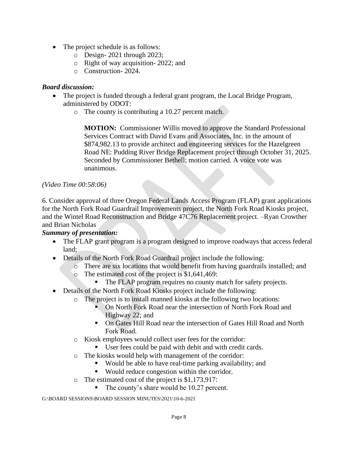- The project schedule is as follows:
	- o Design- 2021 through 2023;
	- o Right of way acquisition- 2022; and
	- o Construction- 2024.

- The project is funded through a federal grant program, the Local Bridge Program, administered by ODOT:
	- o The county is contributing a 10.27 percent match.

**MOTION:** Commissioner Willis moved to approve the Standard Professional Services Contract with David Evans and Associates, Inc. in the amount of \$874,982.13 to provide architect and engineering services for the Hazelgreen Road NE: Pudding River Bridge Replacement project through October 31, 2025. Seconded by Commissioner Bethell; motion carried. A voice vote was unanimous.

### *(Video Time 00:58:06)*

6. Consider approval of three Oregon Federal Lands Access Program (FLAP) grant applications for the North Fork Road Guardrail Improvements project, the North Fork Road Kiosks project, and the Wintel Road Reconstruction and Bridge 47C76 Replacement project. –Ryan Crowther and Brian Nicholas

## *Summary of presentation:*

- The FLAP grant program is a program designed to improve roadways that access federal land;
- Details of the North Fork Road Guardrail project include the following:
	- o There are six locations that would benefit from having guardrails installed; and
	- o The estimated cost of the project is \$1,641,469:
		- The FLAP program requires no county match for safety projects.
- Details of the North Fork Road Kiosks project include the following:
	- o The project is to install manned kiosks at the following two locations:
		- On North Fork Road near the intersection of North Fork Road and Highway 22; and
		- On Gates Hill Road near the intersection of Gates Hill Road and North Fork Road.
	- o Kiosk employees would collect user fees for the corridor:
		- User fees could be paid with debit and with credit cards.
	- o The kiosks would help with management of the corridor:
		- Would be able to have real-time parking availability; and
			- Would reduce congestion within the corridor.
	- o The estimated cost of the project is \$1,173,917:
		- The county's share would be 10.27 percent.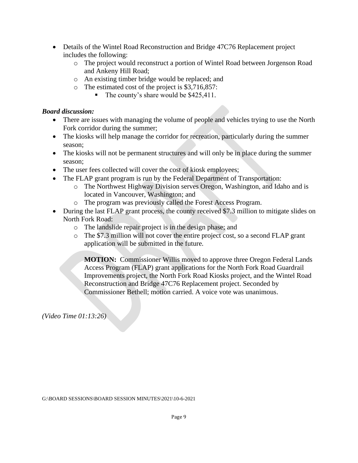- Details of the Wintel Road Reconstruction and Bridge 47C76 Replacement project includes the following:
	- o The project would reconstruct a portion of Wintel Road between Jorgenson Road and Ankeny Hill Road;
	- o An existing timber bridge would be replaced; and
	- o The estimated cost of the project is \$3,716,857:
		- The county's share would be \$425,411.

- There are issues with managing the volume of people and vehicles trying to use the North Fork corridor during the summer;
- The kiosks will help manage the corridor for recreation, particularly during the summer season;
- The kiosks will not be permanent structures and will only be in place during the summer season;
- The user fees collected will cover the cost of kiosk employees;
- The FLAP grant program is run by the Federal Department of Transportation:
	- o The Northwest Highway Division serves Oregon, Washington, and Idaho and is located in Vancouver, Washington; and
	- o The program was previously called the Forest Access Program.
- During the last FLAP grant process, the county received \$7.3 million to mitigate slides on North Fork Road:
	- o The landslide repair project is in the design phase; and
	- o The \$7.3 million will not cover the entire project cost, so a second FLAP grant application will be submitted in the future.

**MOTION:** Commissioner Willis moved to approve three Oregon Federal Lands Access Program (FLAP) grant applications for the North Fork Road Guardrail Improvements project, the North Fork Road Kiosks project, and the Wintel Road Reconstruction and Bridge 47C76 Replacement project. Seconded by Commissioner Bethell; motion carried. A voice vote was unanimous.

*(Video Time 01:13:26)*